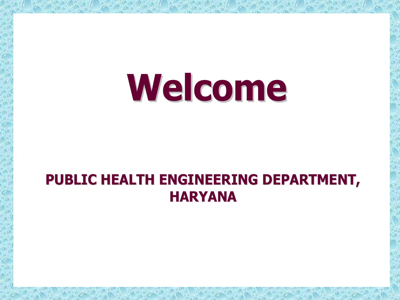# **Welcome**

#### **PUBLIC HEALTH ENGINEERING DEPARTMENT, HARYANA**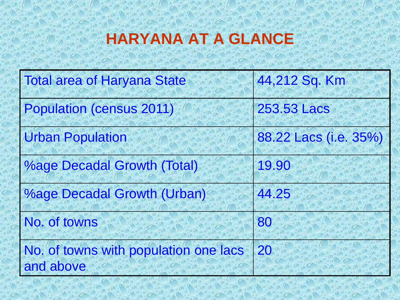### **HARYANA AT A GLANCE**

| <b>Total area of Haryana State</b>                 | 44,212 Sq. Km         |  |
|----------------------------------------------------|-----------------------|--|
| <b>Population (census 2011)</b>                    | 253.53 Lacs           |  |
| <b>Urban Population</b>                            | 88.22 Lacs (i.e. 35%) |  |
| <b>%age Decadal Growth (Total)</b>                 | 19.90                 |  |
| <b>%age Decadal Growth (Urban)</b>                 | 44.25                 |  |
| No. of towns                                       | 80                    |  |
| No. of towns with population one lacs<br>and above | 20                    |  |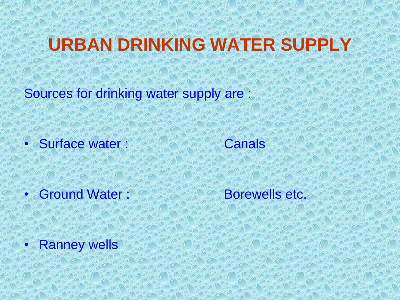## **URBAN DRINKING WATER SUPPLY**

Sources for drinking water supply are :

• Surface water : Canals

• Ground Water : Borewells etc.

**Ranney wells**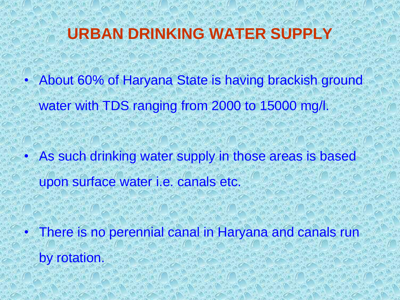#### **URBAN DRINKING WATER SUPPLY**

• About 60% of Haryana State is having brackish ground water with TDS ranging from 2000 to 15000 mg/l.

As such drinking water supply in those areas is based upon surface water i.e. canals etc.

There is no perennial canal in Haryana and canals run by rotation.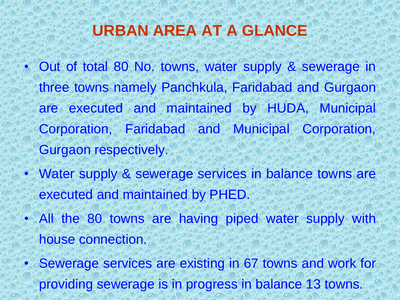#### **URBAN AREA AT A GLANCE**

- Out of total 80 No. towns, water supply & sewerage in three towns namely Panchkula, Faridabad and Gurgaon are executed and maintained by HUDA, Municipal Corporation, Faridabad and Municipal Corporation, Gurgaon respectively.
- Water supply & sewerage services in balance towns are executed and maintained by PHED.
- All the 80 towns are having piped water supply with house connection.
- Sewerage services are existing in 67 towns and work for providing sewerage is in progress in balance 13 towns.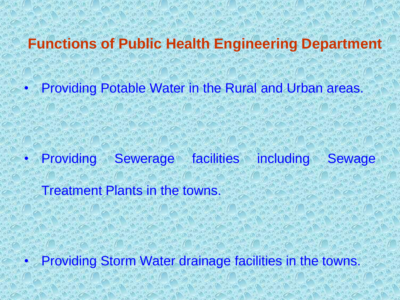#### **Functions of Public Health Engineering Department**

• Providing Potable Water in the Rural and Urban areas.

• Providing Sewerage facilities including Sewage

Treatment Plants in the towns.

Providing Storm Water drainage facilities in the towns.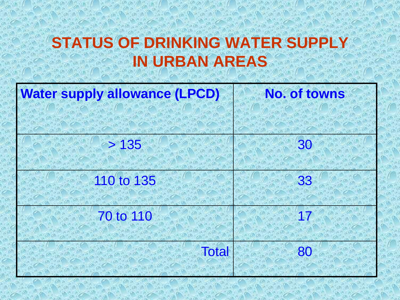#### **STATUS OF DRINKING WATER SUPPLY IN URBAN AREAS**

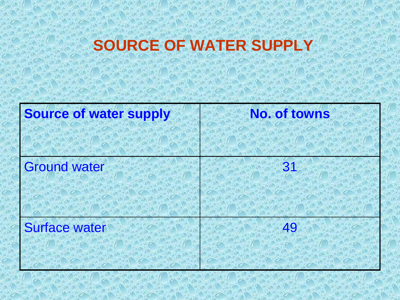# **SOURCE OF WATER SUPPLY**

| <b>Source of water supply</b> | <b>No. of towns</b> |
|-------------------------------|---------------------|
|                               |                     |
| <b>Ground water</b>           | 31                  |
|                               |                     |
| <b>Surface water</b>          | 49                  |
|                               |                     |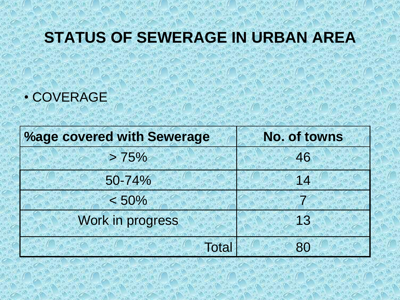#### **STATUS OF SEWERAGE IN URBAN AREA**

• COVERAGE

| <b>%age covered with Sewerage</b> | <b>No. of towns</b> |
|-----------------------------------|---------------------|
| > 75%                             | 46                  |
| 50-74%                            | 14                  |
| < 50%                             |                     |
| Work in progress                  | 13                  |
| <b>Total</b>                      | 80                  |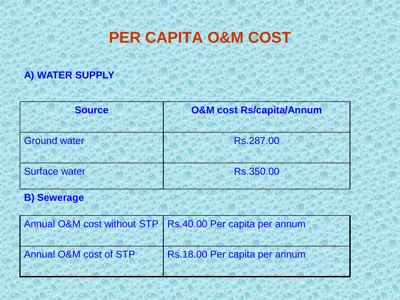#### **PER CAPITA O&M COST**

#### **A) WATER SUPPLY**

| <b>Source</b>        | <b>O&amp;M cost Rs/capita/Annum</b> |
|----------------------|-------------------------------------|
| <b>Ground water</b>  | Rs.287.00                           |
| <b>Surface water</b> | Rs.350.00                           |

#### **B) Sewerage**

|                                   | Annual O&M cost without STP   Rs.40.00 Per capita per annum |
|-----------------------------------|-------------------------------------------------------------|
|                                   |                                                             |
| <b>Annual O&amp;M cost of STP</b> | Rs.18.00 Per capita per annum                               |
|                                   |                                                             |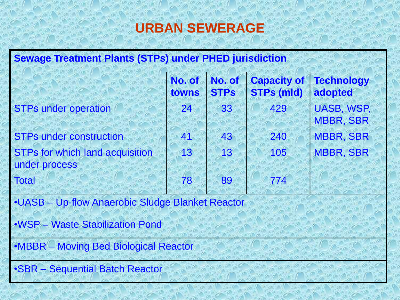#### **URBAN SEWERAGE**

| <b>Sewage Treatment Plants (STPs) under PHED jurisdiction</b> |                 |                       |                                         |                                       |  |  |
|---------------------------------------------------------------|-----------------|-----------------------|-----------------------------------------|---------------------------------------|--|--|
|                                                               | No. of<br>towns | No. of<br><b>STPs</b> | <b>Capacity of</b><br><b>STPs (mld)</b> | <b>Technology</b><br>adopted          |  |  |
| <b>STPs under operation</b>                                   | 24              | 33                    | 429                                     | <b>UASB, WSP,</b><br><b>MBBR, SBR</b> |  |  |
| <b>STPs under construction</b>                                | 41              | 43                    | 240                                     | <b>MBBR, SBR</b>                      |  |  |
| <b>STPs for which land acquisition</b><br>under process       | 13              | 13                    | 105                                     | <b>MBBR, SBR</b>                      |  |  |
| <b>Total</b>                                                  | 78              | 89                    | 774                                     |                                       |  |  |
| .UASB - Up-flow Anaerobic Sludge Blanket Reactor              |                 |                       |                                         |                                       |  |  |
| .WSP - Waste Stabilization Pond                               |                 |                       |                                         |                                       |  |  |
| •MBBR - Moving Bed Biological Reactor                         |                 |                       |                                         |                                       |  |  |
| •SBR - Sequential Batch Reactor                               |                 |                       |                                         |                                       |  |  |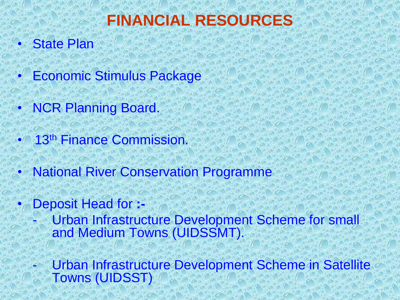### **FINANCIAL RESOURCES**

- **State Plan**
- Economic Stimulus Package
- **NCR Planning Board.**
- 13<sup>th</sup> Finance Commission.
- National River Conservation Programme
	- Deposit Head for **:-**
		- Urban Infrastructure Development Scheme for small and Medium Towns (UIDSSMT).
		- Urban Infrastructure Development Scheme in Satellite Towns (UIDSST)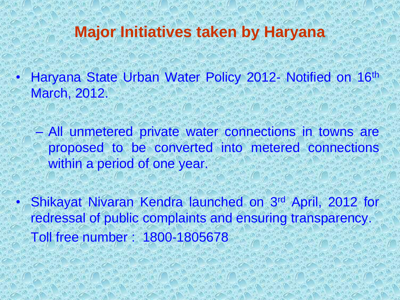#### **Major Initiatives taken by Haryana**

• Haryana State Urban Water Policy 2012- Notified on 16th March, 2012.

– All unmetered private water connections in towns are proposed to be converted into metered connections within a period of one year.

• Shikayat Nivaran Kendra launched on 3rd April, 2012 for redressal of public complaints and ensuring transparency. Toll free number : 1800-1805678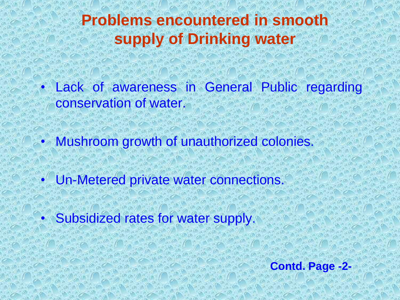#### **Problems encountered in smooth supply of Drinking water**

Lack of awareness in General Public regarding conservation of water.

• Mushroom growth of unauthorized colonies.

• Un-Metered private water connections.

• Subsidized rates for water supply.

**Contd. Page -2-**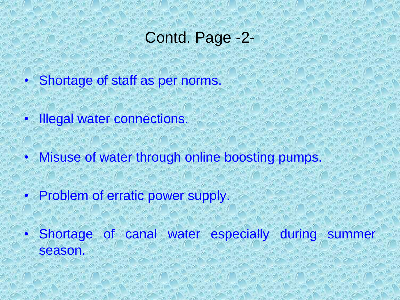#### Contd. Page -2-

- Shortage of staff as per norms.
- **Illegal water connections.**
- Misuse of water through online boosting pumps.
- Problem of erratic power supply.

• Shortage of canal water especially during summer season.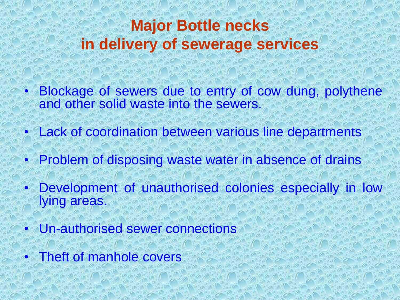#### **Major Bottle necks in delivery of sewerage services**

- Blockage of sewers due to entry of cow dung, polythene and other solid waste into the sewers.
- Lack of coordination between various line departments
- Problem of disposing waste water in absence of drains
- Development of unauthorised colonies especially in low lying areas.
- Un-authorised sewer connections
- Theft of manhole covers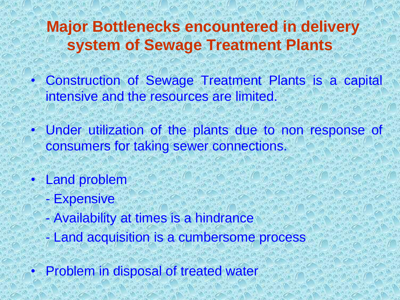#### **Major Bottlenecks encountered in delivery system of Sewage Treatment Plants**

- Construction of Sewage Treatment Plants is a capital intensive and the resources are limited.
- Under utilization of the plants due to non response of consumers for taking sewer connections.
- **Land problem** 
	- Expensive
	- Availability at times is a hindrance
	- Land acquisition is a cumbersome process
- Problem in disposal of treated water